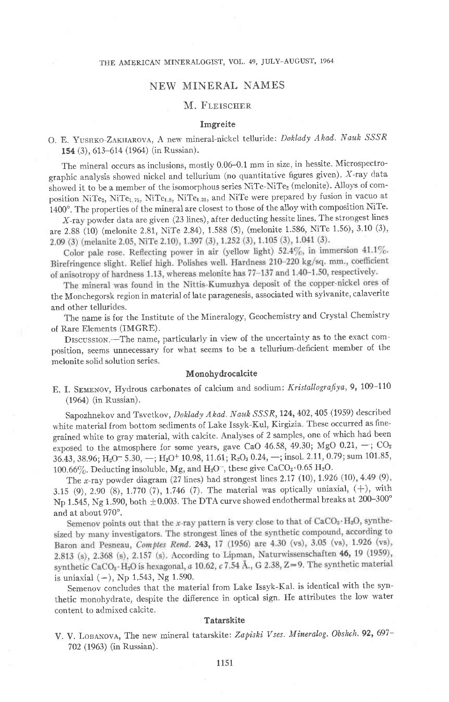## NEW MINERAL NAMES

## M. FLEISCHER

#### Imgreite

## O. E. YUSHKO-ZAKHAROVA, A new mineral-nickel telluride: Doklady Akad. Nauk SSSR 154 (3), 613-614 (196a) (in Russian).

The mineral occurs as inclusions, mostly 0.06-O.1 mm in size, in hessite. Microspectrographic analysis showed nickel and tellurium (no quantitative figures given). X-ray data showed it to be a member of the isomorphous series NiTe-NiTez (melonite). Alioys of composition NiTe2, NiTe<sub>1.75</sub>, NiTe<sub>1.5</sub>, NiTe<sub>1.25</sub>, and NiTe were prepared by fusion in vacuo at 1400°. The properties of the mineral are closest to those of the alloy with composition NiTe.

X-ray powder data are given (23 lines), after deducting hessite lines. The strongest lines are 2.88 (10) (melonite 2.81, NiTe 2.84), 1.588 (5), (melonite 1.586, NiTe 1.56), 3.10 (3), 2.09 (3) (melanite 2.05, NiTe 2.10), 1.397 (3), 1.252 (3), 1.105 (3), 1.041 (3).

Color pale rose. Reflecting power in air (yellow light)  $52.4\%$ , in immersion  $41.1\%$ . Birefringence slight. Relief high. Polishes well. Hardness 210-220 kg/sq. mm., coefficient of anisotropy of hardness 1.13, whereas melonite has 77-137 and 1.40-1.50, respectively.

The mineral was found in the Nittis-Kumuzhya deposit of the copper-nickel ores of the Monchegorsk region in material of late paragenesis, associated with sylvanite, calaverite and other tellurides.

The name is for the Institute of the Mineralogy, Geochemistry and Crystal Chemistry of Rare Elements (IMGRE).

Drscussron.-The name, particularly in view of the uncertainty as to the exact composition, seems unnecessary for what seerns to be a tellurium-deficient member of the melonite solid solution series.

#### Monohydrocalcite

E. I. SEMENOV, Hydrous carbonates of calcium and sodium: Kristallografiya, 9, 109-110 (196a) (in Russian).

Sapozhnekov and Tsvetkov, Doklady Akad. Nauk SSSR, 124, 402, 405 (1959) described white material from bottom sediments of Lake Issyk-Kul, Kirgizia. These occurred as finegrained white to gray material, with calcite. Analyses of 2 samples, one of which had been exposed to the atmosphere for some years, gave CaO 46.58, 49.30; MgO 0.21,  $-$ ; CO<sub>2</sub> 36.43, 38.96; H<sub>2</sub>O<sup>-</sup> 5.30, -; H<sub>2</sub>O<sup>+</sup> 10.98, 11.61; R<sub>2</sub>O<sub>3</sub> 0.24, -; insol. 2.11, 0.79; sum 101.85, 100.66%. Deducting insoluble, Mg, and  $H_2O^-$ , these give CaCO<sub>3</sub> $\cdot$ 0.65  $H_2O$ .

The x-ray powder diagram  $(27 \text{ lines})$  had strongest lines  $2.17 (10), 1.926 (10), 4.49 (9),$ 3.15 (9), 2.90 (8), 1.770 (7), 1.746 (7). The material was optically uniaxial,  $(+)$ , with Np 1.545, Ng 1.590, both  $\pm 0.003$ . The DTA curve showed endothermal breaks at 200-300°

and at about 970°.<br>Semenov points out that the x-ray pattern is very close to that of  $CaCO<sub>3</sub>·H<sub>2</sub>O$ , synthesized by many investigators. The strongest lines of the synthetic compound, according to Baron and Pesneau, Comptes Rend. 243, 17 (1956) are 4.30 (vs), 3.05 (vs), 1.926 (vs), 2.813 (s), 2.368 (s), 2.157 (s). According to Lipman, Naturwissenschaften 46, 19 (1959), synthetic CaCO<sub>3</sub> · H<sub>2</sub>O is hexagonal, a 10.62, c 7.54 Å., G 2.38, Z=9. The synthetic material is uniaxial  $(-)$ , Np 1.543, Ng 1.590.

Semenov concludes that the material from Lake Issyk-Kal. is identical with the synthetic monohydrate, despite the difierence in optical sign. He attributes the low water content to admixed calcite

### **Tatarskite**

V. V. LOBANOVA, The new mineral tatarskite: Zapiski Vses. Mineralog. Obshch. 92, 697-702 (1963) (in Russian).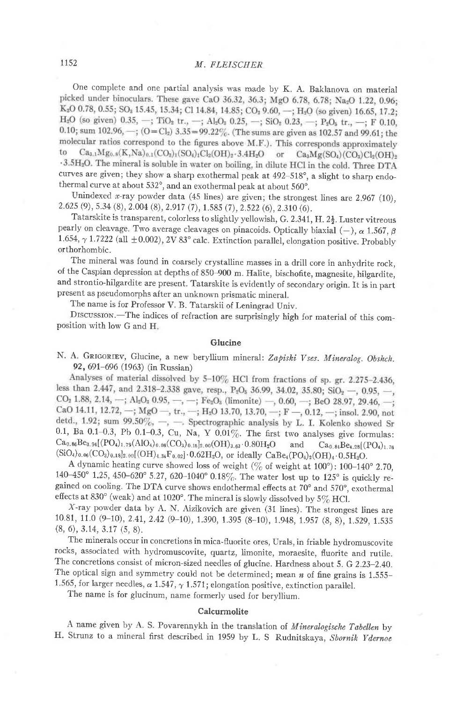One complete and one partial analysis was made by K. A. Baklanova on material picked under binoculars. These gave CaO 36.32, 36.3; MgO 6.78, 6.78; Na<sub>2</sub>O 1.22, 0.96; K<sub>2</sub>O 0.78, 0.55; SO<sub>3</sub> 15.45, 15.34; Cl 14.84, 14.85; CO<sub>2</sub> 9.60, -; H<sub>2</sub>O (so given) 16.65, 17.2;  $H_2O$  (so given) 0.35, -; TiO<sub>2</sub> tr., -; Al<sub>2</sub>O<sub>3</sub> 0.25, -; SiO<sub>2</sub> 0.23, -; P<sub>2</sub>O<sub>3</sub> tr., -; F 0.10, 0.10; sum 102.96, -; (O=Cl<sub>2</sub>) 3.35=99.22%. (The sums are given as 102.57 and 99.61; the molecular ratios correspond to the figures above M.F.). This corresponds approximately to  $Ca_{3,1}Mg_{0.8}(K,Na)_{0.1}(CO_{3})_1(SO_4)_1Cl_2(OH)_{2} \cdot 3.4H_2O$ or  $Ca<sub>3</sub>Mg(SO<sub>4</sub>)(CO<sub>3</sub>)Cl<sub>2</sub>(OH)<sub>2</sub>$ 3.5H<sub>2</sub>O. The mineral is soluble in water on boiling, in dilute HCl in the cold. Three DTA curves are given; they show a sharp exothermal peak at  $492-518^\circ$ , a slight to sharp endothermal curve at about 532°, and an exothermal peak at about 560°.

Unindexed x-ray powder data (45 lines) are given; the strongest lines are  $2.967$  (10), 2.625 (9), 5.34 (8), 2.004 (8), 2.917 (7), 1.585 (7), 2.522 (6), 2.310 (6).

Tatarskite is transparent, colorless to slightly yellowish, G. 2.341, H.  $2\frac{1}{2}$ . Luster vitreous pearly on cleavage. Two average cleavages on pinacoids. Optically biaxial (-),  $\alpha$  1.567,  $\beta$ 1.654,  $\gamma$  1.7222 (all  $\pm$  0.002), 2V 83° calc. Extinction parallel, elongation positive. Probably orthorhombic.

The mineral was found in coarsely crystalline masses in a drill core in anhydrite rock, of the caspian depression at depths of 850-900 m. Halite, bischofite, magnesite, hilgardite, and strontio-hilgardite are present. Tatarskite is evidently of secondary origin. It is in part present as pseudomorphs after an unknown prismatic mineral.

The name is for Professor V. B. Tatarskii of Leningrad Univ.

DISCUSSION.-The indices of refraction are surprisingly high for material of this composition with low G and H

### Glucine

N. A. GRIGORIEV, Glucine, a new beryllium mineral: Zapiski Vses. Mineralog. Obshch. 92, 691-696 (1963) (in Russian)

Analyses of material dissolved by 5-10% HCl from fractions of sp. gr. 2.275-2.436, less than 2.447, and 2.318-2.338 gave, resp.,  $P_2O_8$  36.99, 34.02, 35.80;  $SiO_2$  -, 0.95, -, CO<sub>2</sub> 1.88, 2.14, -; Al<sub>2</sub>O<sub>3</sub> 0.95, -, -; Fe<sub>2</sub>O<sub>3</sub> (limonite) -, 0.60, -; BeO 28.97, 29.46, -; CaO 14.11, 12.72,  $-$ ; MgO  $-$ , tr.,  $-$ ; H<sub>2</sub>O 13.70, 13.70,  $-$ ; F  $-$ , 0.12,  $-$ ; insol. 2.90, not detd., 1.92; sum 99.50%, -, - Spectrographic analysis by L. I. Kolenko showed Sr 0.1, Ba 0.1-0.3, Pb 0.1-0.3, Cu, Na, Y 0.01%. The first two analyses give formulas:  $Ca_{0.86}Be_{3.94}[(PO_4)_{1.79}(AlO_4)_{0.06}(CO_3)_{0.15}]_{2.00}(OH)_{3.63}\cdot0.80H_2O$  and  $Ca_{0.84}Be_{4.28}[(PO_4)_{1.76}]$  $(SiO<sub>4</sub>)<sub>0.06</sub>(CO<sub>3</sub>)<sub>0.18</sub>]<sub>2.00</sub>[(OH)<sub>4.34</sub>F<sub>0.02</sub>] $\cdot$ 0.62H<sub>2</sub>O, or ideally CaBe<sub>4</sub>(PO<sub>4</sub>)<sub>2</sub>(OH)<sub>4</sub>·0.5H<sub>2</sub>O.$ 

A dynamic heating curve showed loss of weight ( $\%$  of weight at 100°): 100-140° 2.70, 140-450° 1.25, 450-620° 5.27, 620-1040° 0.18%. The water lost up to 125° is quickly regained on cooling. The DTA curve shows endothermal effects at  $70^{\circ}$  and  $570^{\circ}$ , exothermal effects at 830° (weak) and at 1020°. The mineral is slowly dissolved by 5% HCl.

x-ray powder data by A. N. Aizikovich are given (31 lines). The strongest lines are 10.81, 11.0 (9-10), 2.41, 2.42 (9-10), 1.390, 1.395 (8-10), 1.948, 1.957 (8, 8), 1.529, 1.535  $(8, 6), 3.14, 3.17, (5, 8).$ 

The minerals occur in concretions in mica-fluorite ores, Urals, in friable hydromuscovite rocks, associated with hydromuscovite, quartz, Iimonite, moraesite, fluorite and rutile. The concretions consist of micron-sized needles of glucine. Hardness about 5. G 2.23-2.40. The optical sign and symmetry could not be determined; mean  $n$  of fine grains is 1.555-1.565, for larger needles,  $\alpha$  1.547,  $\gamma$  1.571; elongation positive, extinction parallel.

The name is for glucinum, name formerly used for beryllium.

#### Calcurmolite

A name given by A. S. Povarennykh in the translation of *Mineralogische Tabellen* by H. Strunz to a mineral first described in 1959 by L. S Rudnitskaya, Shornik Ydernoe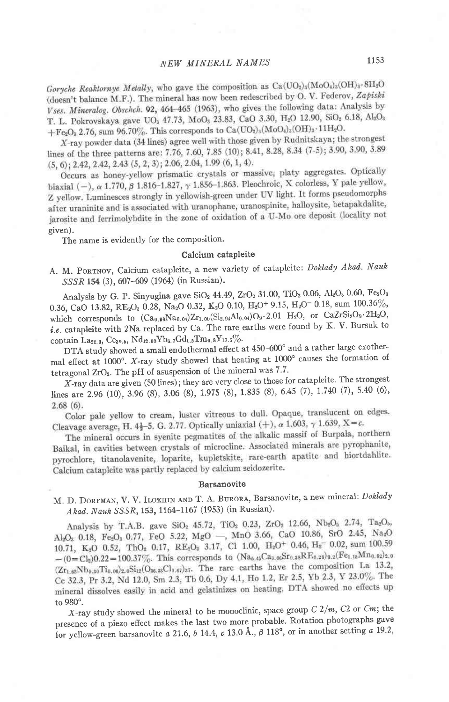Goryche Reaktornye Metally, who gave the composition as  $Ca(UO<sub>2</sub>)<sub>3</sub>(MO<sub>4</sub>)<sub>3</sub>(OH)<sub>3</sub>·8H<sub>3</sub>O$ (doesn't balance M.F.). The mineral has now been redescribed by O. V. Federov, Zapiski Vses. Mineralog. Obschch. 92, 464-465 (1963), who gives the following data: Analysis by T. L. Pokrovskaya gave UO<sub>3</sub> 47.73, MoO<sub>3</sub> 23.83, CaO 3.30, H<sub>2</sub>O 12.90, SiO<sub>2</sub> 6.18, Al<sub>2</sub>O<sub>3</sub> + Fe<sub>2</sub>O<sub>3</sub> 2.76, sum 96.70%. This corresponds to Ca(UO<sub>2</sub>)<sub>3</sub>(MoO<sub>4</sub>)<sub>3</sub>(OH)<sub>2</sub>·11H<sub>2</sub>O<sub>3</sub>

X-ray powder data (34 lines) agree well with those given by Rudnitskaya; the strongest lines of the three patterns are: 7.76, 7.60, 7.85 (10); 8.41, 8.28, 8.34 (7-5); 3.90, 3.90, 3.89  $(5, 6)$ ; 2.42, 2.42, 2.43  $(5, 2, 3)$ ; 2.06, 2.04, 1.99  $(6, 1, 4)$ .

Occurs as honey-yellow prismatic crystals or massive, platy aggregates. Optically biaxial  $(-)$ ,  $\alpha$  1.770,  $\beta$  1.816-1.827,  $\gamma$  1.856-1.863. Pleochroic, X colorless, Y pale yellow, Z yellow. Luminesces strongly in yellowish-green under UV light. It forms pseudomorphs after uraninite and is associated with uranophane, uranospinite, halloysite, betapakdalite, jarosite and ferrimolybdite in the zone of oxidation of a U-Mo ore deposit (locality not given).

The name is evidently for the composition.

#### Calcium catapleite

A. M. PORTNOV, Calcium catapleite, a new variety of catapleite: Doklady Akad. Nauk SSSR 154 (3), 607-609 (1964) (in Russian).

Analysis by G. P. Sinyugina gave  $SiO_2$  44.49, ZrO<sub>2</sub> 31.00, TiO<sub>2</sub> 0.06, Al<sub>2</sub>O<sub>3</sub> 0.60, Fe<sub>2</sub>O<sub>3</sub> 0.36, CaO 13.82, RE<sub>2</sub>O<sub>3</sub> 0.28, Na<sub>2</sub>O 0.32, K<sub>2</sub>O 0.10, H<sub>2</sub>O<sup>+</sup> 9.15, H<sub>2</sub>O<sup>-</sup> 0.18, sum 100.36%, which corresponds to  $(Ca_0, s_8Na_0, a_1)Zr_{1.00}(Si_{2.94}Al_{0.04})O_9 \cdot 2.01$  H<sub>2</sub>O, or  $CaZrSi_3O_9 \cdot 2H_2O$ ,  $i.e.$  catapleite with 2Na replaced by Ca. The rare earths were found by K. V. Bursuk to contain La<sub>22.0</sub>, Ce<sub>39.5</sub>, Nd<sub>12.00</sub>Yb<sub>6.7</sub>Gd<sub>1.5</sub>Tm<sub>0.8</sub>Y<sub>17.5</sub>%.

DTA study showed a small endothermal efiect at 450-600' and a rather large exothermal effect at 1000°. X-ray study showed that heating at 1000° causes the formation of tetragonal  $ZrO_2$ . The pH of asuspension of the mineral was 7.7.

X-ray data are given (50 lines); they are very close to those for catapleite. The strongest lines are 2.96 (10), 3.96 (8), 3.06 (8), 1.975 (8), 1.835 (8), 6.45 (7), 1.740 (7), 5.40 (6),  $2.68(6).$ 

Color pale yellow to cream, luster vitreous to dull. Opaque, translucent on edges. Cleavage average, H.  $4\frac{1}{2}$ -5. G. 2.77. Optically uniaxial (+),  $\alpha$  1.603,  $\gamma$  1.639, X = c.

The mineral occurs in syenite pegmatites of the alkalic massif of Burpala, northern Baikal, in cavities between crystals of microcline. Associated minerals are pyrophanite, pyrochlore, titanolavenite, loparite, kupletskite, rare-earth apatite and hiortdahlite. Calcium catapleite was partly replaced by calcium seidozerite.

#### Barsanovite

M. D. DORFMAN, V. V. ILOKHIN AND T. A. BURORA, Barsanovite, a new mineral: Doklady Akad. Nauk SSSR, 153, 1164-1167 (1953) (in Russian).

Analysis by T.A.B. gave SiO<sub>2</sub> 45.72, TiO<sub>2</sub> 0.23, ZrO<sub>2</sub> 12.66, Nb<sub>2</sub>O<sub>5</sub> 2.74, Ta<sub>2</sub>O<sub>5</sub>, AlgO<sub>8</sub> 0.18, Fe<sub>2</sub>O<sub>8</sub> 0.77, FeO 5.22, MgO -, MnO 3.66, CaO 10.86, SrO 2.45, Na<sub>2</sub>O<sub>8</sub> 10.71, K<sub>3</sub>O 0.52, ThO<sub>2</sub> 0.17, RE<sub>2</sub>O<sub>3</sub> 3.17, C1 1.00, H<sub>2</sub>O<sup>+</sup> 0.46, H<sub>2</sub><sup>-</sup> 0.02, sum 100.59  $-(0=C_{8})0.22=100.37\%$ . This corresponds to  $(Na_{6.45}Ca_{3.95}Sr_{0.35}RE_{0.25})_{9.2}(Fe_{1.15}Mn_{0.82})_{2.0}$  $(Z_{I_1,\theta_2}Nb_{0.30}Ti_{0.00})_{2.0}Si_{12}(O_{36.33}Cl_{0.67})_{37}$ . The rare earths have the composition La 13.2, Ce 32.3, Pr 3.2, Nd 12.0, Sm 2.3, Tb 0.6, Dy 4.1, Ho 1.2, Er 2.5, Yb 2.3, Y 23.0%. The mineral dissolves easily in acid and gelatinizes on heating. DTA showed no effects up to 980'.

X-ray study showed the mineral to be monoclinic, space group  $C\ 2/m$ ,  $C\ 2$  or  $Cm$ ; the presence of a piezo effect makes the last two more probable. Rotation photographs gave for yellow-green barsanovite a 21.6, b 14.4, c 13.0 Å.,  $\beta$  118°, or in another setting a 19.2,